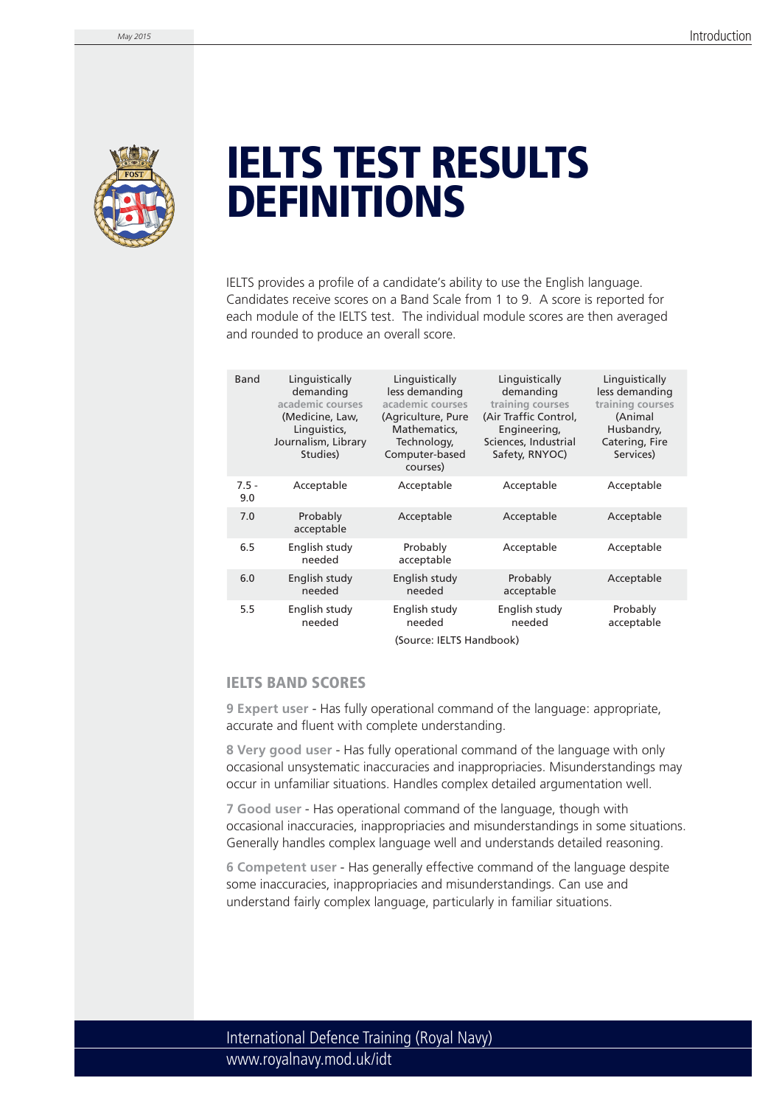

## **IELTS TEST RESULTS DEFINITIONS**

IELTS provides a profile of a candidate's ability to use the English language. Candidates receive scores on a Band Scale from 1 to 9. A score is reported for each module of the IELTS test. The individual module scores are then averaged and rounded to produce an overall score.

| Band                     | Linguistically<br>demanding<br>academic courses<br>(Medicine, Law,<br>Linguistics,<br>Journalism, Library<br>Studies) | Linguistically<br>less demanding<br>academic courses<br>(Agriculture, Pure<br>Mathematics,<br>Technology,<br>Computer-based | Linguistically<br>demanding<br>training courses<br>(Air Traffic Control,<br>Engineering,<br>Sciences, Industrial<br>Safety, RNYOC) | Linguistically<br>less demanding<br>training courses<br>(Animal<br>Husbandry,<br>Catering, Fire<br>Services) |
|--------------------------|-----------------------------------------------------------------------------------------------------------------------|-----------------------------------------------------------------------------------------------------------------------------|------------------------------------------------------------------------------------------------------------------------------------|--------------------------------------------------------------------------------------------------------------|
|                          |                                                                                                                       | courses)                                                                                                                    |                                                                                                                                    |                                                                                                              |
| $7.5 -$<br>9.0           | Acceptable                                                                                                            | Acceptable                                                                                                                  | Acceptable                                                                                                                         | Acceptable                                                                                                   |
| 7.0                      | Probably<br>acceptable                                                                                                | Acceptable                                                                                                                  | Acceptable                                                                                                                         | Acceptable                                                                                                   |
| 6.5                      | English study<br>needed                                                                                               | Probably<br>acceptable                                                                                                      | Acceptable                                                                                                                         | Acceptable                                                                                                   |
| 6.0                      | English study<br>needed                                                                                               | English study<br>needed                                                                                                     | Probably<br>acceptable                                                                                                             | Acceptable                                                                                                   |
| 5.5                      | English study<br>needed                                                                                               | English study<br>needed                                                                                                     | English study<br>needed                                                                                                            | Probably<br>acceptable                                                                                       |
| (Source: IELTS Handbook) |                                                                                                                       |                                                                                                                             |                                                                                                                                    |                                                                                                              |

## **IELTS BAND SCORES**

**9 Expert user** - Has fully operational command of the language: appropriate, accurate and fluent with complete understanding.

**8 Very good user** - Has fully operational command of the language with only occasional unsystematic inaccuracies and inappropriacies. Misunderstandings may occur in unfamiliar situations. Handles complex detailed argumentation well.

**7 Good user** - Has operational command of the language, though with occasional inaccuracies, inappropriacies and misunderstandings in some situations. Generally handles complex language well and understands detailed reasoning.

**6 Competent user** - Has generally effective command of the language despite some inaccuracies, inappropriacies and misunderstandings. Can use and understand fairly complex language, particularly in familiar situations.